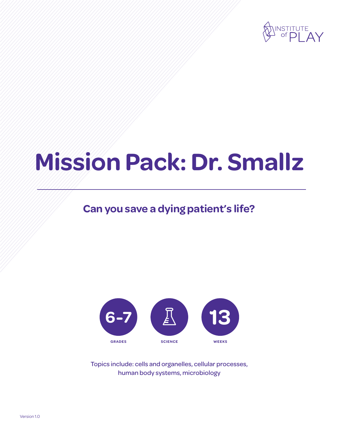

# **Mission Pack: Dr. Smallz**

## **Can you save a dying patient's life?**



Topics include: cells and organelles, cellular processes, human body systems, microbiology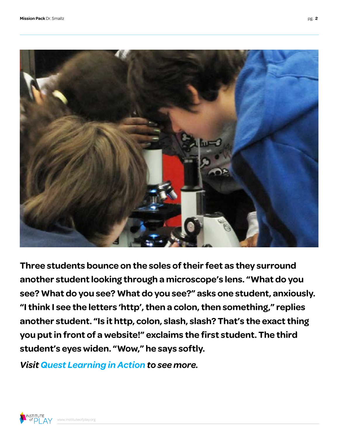

**Three students bounce on the soles of their feet as they surround another student looking through a microscope's lens. "What do you see? What do you see? What do you see?" asks one student, anxiously. "I think I see the letters 'http', then a colon, then something," replies another student. "Is it http, colon, slash, slash? That's the exact thing you put in front of a website!" exclaims the first student. The third student's eyes widen. "Wow," he says softly.**

*[Visit Quest Learning in Action to see more.](http://vimeo.com/channels/qla/63336067)*

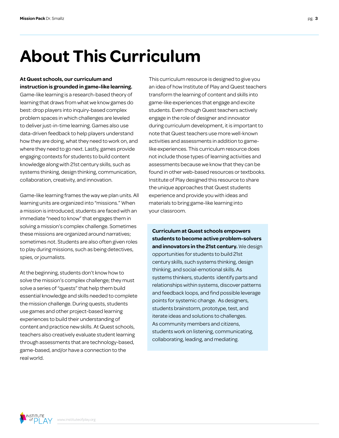## **About This Curriculum**

**At Quest schools, our curriculum and instruction is grounded in game-like learning.** 

Game-like learning is a research-based theory of learning that draws from what we know games do best: drop players into inquiry-based complex problem spaces in which challenges are leveled to deliver just-in-time learning. Games also use data-driven feedback to help players understand how they are doing, what they need to work on, and where they need to go next. Lastly, games provide engaging contexts for students to build content knowledge along with 21st century skills, such as systems thinking, design thinking, communication, collaboration, creativity, and innovation.

Game-like learning frames the way we plan units. All learning units are organized into "missions." When a mission is introduced, students are faced with an immediate "need to know" that engages them in solving a mission's complex challenge. Sometimes these missions are organized around narratives; sometimes not. Students are also often given roles to play during missions, such as being detectives, spies, or journalists.

At the beginning, students don't know how to solve the mission's complex challenge; they must solve a series of "quests" that help them build essential knowledge and skills needed to complete the mission challenge. During quests, students use games and other project-based learning experiences to build their understanding of content and practice new skills. At Quest schools, teachers also creatively evaluate student learning through assessments that are technology-based, game-based, and/or have a connection to the real world.

This curriculum resource is designed to give you an idea of how Institute of Play and Quest teachers transform the learning of content and skills into game-like experiences that engage and excite students. Even though Quest teachers actively engage in the role of designer and innovator during curriculum development, it is important to note that Quest teachers use more well-known activities and assessments in addition to gamelike experiences. This curriculum resource does not include those types of learning activities and assessments because we know that they can be found in other web-based resources or textbooks. Institute of Play designed this resource to share the unique approaches that Quest students experience and provide you with ideas and materials to bring game-like learning into your classroom.

**Curriculum at Quest schools empowers students to become active problem-solvers and innovators in the 21st century.** We design opportunities for students to build 21st century skills, such systems thinking, design thinking, and social-emotional skills. As systems thinkers, students identify parts and relationships within systems, discover patterns and feedback loops, and find possible leverage points for systemic change. As designers, students brainstorm, prototype, test, and iterate ideas and solutions to challenges. As community members and citizens, students work on listening, communicating, collaborating, leading, and mediating.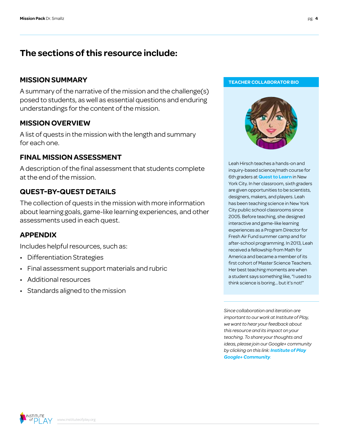## **The sections of this resource include:**

## **MISSION SUMMARY TEACHER COLLABORATOR BIO**

A summary of the narrative of the mission and the challenge(s) posed to students, as well as essential questions and enduring understandings for the content of the mission.

## **MISSION OVERVIEW**

A list of quests in the mission with the length and summary for each one.

## **FINAL MISSION ASSESSMENT**

A description of the final assessment that students complete at the end of the mission.

## **QUEST-BY-QUEST DETAILS**

The collection of quests in the mission with more information about learning goals, game-like learning experiences, and other assessments used in each quest.

## **APPENDIX**

Includes helpful resources, such as:

- Differentiation Strategies
- Final assessment support materials and rubric
- Additional resources
- Standards aligned to the mission



Leah Hirsch teaches a hands-on and inquiry-based science/math course for 6th graders at **[Quest to Learn](http://q2l.org/)** in New York City. In her classroom, sixth graders are given opportunities to be scientists, designers, makers, and players. Leah has been teaching science in New York City public school classrooms since 2005. Before teaching, she designed interactive and game-like learning experiences as a Program Director for Fresh Air Fund summer camp and for after-school programming. In 2013, Leah received a fellowship from Math for America and became a member of its first cohort of Master Science Teachers. Her best teaching moments are when a student says something like, "I used to think science is boring... but it's not!"

*Since collaboration and iteration are important to our work at Institute of Play, we want to hear your feedback about this resource and its impact on your teaching. To share your thoughts and ideas, please join our Google+ community by clicking on this link: [Institute of Play](https://plus.google.com/109931113406134913780)  [Google+ Community](https://plus.google.com/109931113406134913780).*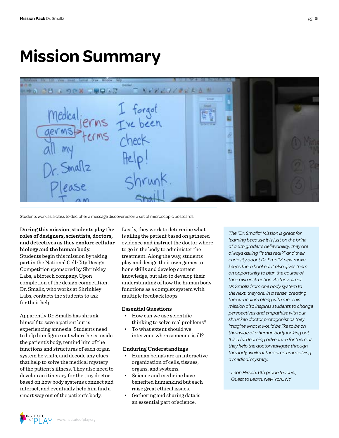## **Mission Summary**

| C <sub>2</sub><br>munt. Format.                            | <b>Window</b> Help             |       |  |  |
|------------------------------------------------------------|--------------------------------|-------|--|--|
| <b>THA CH &amp; DOX DRONZ</b>                              | $T$ <i>A + P A d / 2 x 5 h</i> | m     |  |  |
| Medical jerms I forgot<br>germs Fre been<br>M <sub>2</sub> | $f$ $e$ $ p $                  | Dream |  |  |
| Dr. Smallz<br>Please                                       | Shrunk.                        |       |  |  |

Students work as a class to decipher a message discovered on a set of microscopic postcards.

**During this mission, students play the roles of designers, scientists, doctors, and detectives as they explore cellular biology and the human body.** Students begin this mission by taking part in the National Cell City Design Competition sponsored by Shrinkley Labs, a biotech company. Upon completion of the design competition, Dr. Smallz, who works at Shrinkley Labs, contacts the students to ask for their help.

Apparently Dr. Smallz has shrunk himself to save a patient but is experiencing amnesia. Students need to help him figure out where he is inside the patient's body, remind him of the functions and structures of each organ system he visits, and decode any clues that help to solve the medical mystery of the patient's illness. They also need to develop an itinerary for the tiny doctor based on how body systems connect and interact, and eventually help him find a smart way out of the patient's body.

Lastly, they work to determine what is ailing the patient based on gathered evidence and instruct the doctor where to go in the body to administer the treatment. Along the way, students play and design their own games to hone skills and develop content knowledge, but also to develop their understanding of how the human body functions as a complex system with multiple feedback loops.

### **Essential Questions**

- How can we use scientific thinking to solve real problems?
- To what extent should we intervene when someone is ill?

### **Enduring Understandings**

- Human beings are an interactive organization of cells, tissues, organs, and systems.
- Science and medicine have benefited humankind but each raise great ethical issues.
- Gathering and sharing data is an essential part of science.

*The "Dr. Smallz" Mission is great for learning because it is just on the brink of a 6th grader's believability; they are always asking "is this real?" and their curiosity about Dr. Smallz' next move keeps them hooked. It also gives them an opportunity to plan the course of their own instruction. As they direct Dr. Smallz from one body system to the next, they are, in a sense, creating the curriculum along with me. This mission also inspires students to change perspectives and empathize with our shrunken doctor protagonist as they imagine what it would be like to be on the inside of a human body looking out. It is a fun learning adventure for them as they help the doctor navigate through the body, while at the same time solving a medical mystery.*

*- Leah Hirsch, 6th grade teacher, Quest to Learn, New York, NY*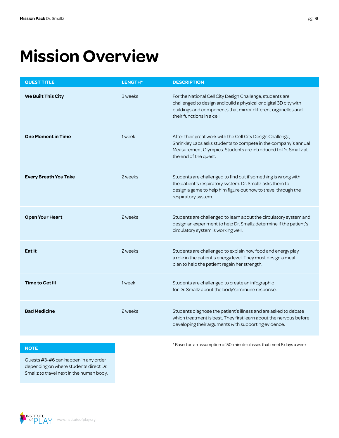## **Mission Overview**

| <b>QUEST TITLE</b>           | LENGTH* | <b>DESCRIPTION</b>                                                                                                                                                                                                            |
|------------------------------|---------|-------------------------------------------------------------------------------------------------------------------------------------------------------------------------------------------------------------------------------|
| <b>We Built This City</b>    | 3 weeks | For the National Cell City Design Challenge, students are<br>challenged to design and build a physical or digital 3D city with<br>buildings and components that mirror different organelles and<br>their functions in a cell. |
| <b>One Moment in Time</b>    | 1 week  | After their great work with the Cell City Design Challenge,<br>Shrinkley Labs asks students to compete in the company's annual<br>Measurement Olympics. Students are introduced to Dr. Smallz at<br>the end of the quest.     |
| <b>Every Breath You Take</b> | 2 weeks | Students are challenged to find out if something is wrong with<br>the patient's respiratory system. Dr. Smallz asks them to<br>design a game to help him figure out how to travel through the<br>respiratory system.          |
| <b>Open Your Heart</b>       | 2 weeks | Students are challenged to learn about the circulatory system and<br>design an experiment to help Dr. Smallz determine if the patient's<br>circulatory system is working well.                                                |
| Eat It                       | 2 weeks | Students are challenged to explain how food and energy play<br>a role in the patient's energy level. They must design a meal<br>plan to help the patient regain her strength.                                                 |
| <b>Time to Get Ill</b>       | 1 week  | Students are challenged to create an infographic<br>for Dr. Smallz about the body's immune response.                                                                                                                          |
| <b>Bad Medicine</b>          | 2 weeks | Students diagnose the patient's illness and are asked to debate<br>which treatment is best. They first learn about the nervous before<br>developing their arguments with supporting evidence.                                 |

Quests #3-#6 can happen in any order depending on where students direct Dr. Smallz to travel next in the human body.



**NOTE NOTE** *NOTE* **EXECUTE** *NOTE NOTE Resed on an assumption of 50-minute classes that meet 5 days a week*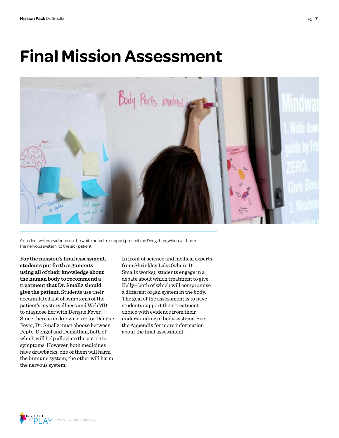## **Final Mission Assessment**



A student writes evidence on the white board to support prescribing Dengithan, which will harm the nervous system, to the sick patient.

**For the mission's final assessment, students put forth arguments using all of their knowledge about the human body to recommend a treatment that Dr. Smallz should give the patient.** Students use their accumulated list of symptoms of the patient's mystery illness and WebMD to diagnose her with Dengue Fever. Since there is no known cure for Dengue Fever, Dr. Smallz must choose between Pepto-Dengol and Dengithan, both of which will help alleviate the patient's symptoms. However, both medicines have drawbacks: one of them will harm the immune system, the other will harm the nervous system.

In front of science and medical experts from Shrinkley Labs (where Dr. Smallz works), students engage in a debate about which treatment to give Kelly—both of which will compromise a different organ system in the body. The goal of the assessment is to have students support their treatment choice with evidence from their understanding of body systems. See the Appendix for more information about the final assessment.

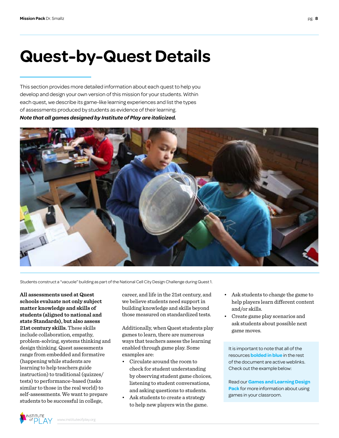## **Quest-by-Quest Details**

This section provides more detailed information about each quest to help you develop and design your own version of this mission for your students. Within each quest, we describe its game-like learning experiences and list the types of assessments produced by students as evidence of their learning. *Note that all games designed by Institute of Play are italicized.*



Students construct a "vacuole" building as part of the National Cell City Design Challenge during Quest 1.

**All assessments used at Quest schools evaluate not only subject matter knowledge and skills of students (aligned to national and state Standards), but also assess 21st century skills.** These skills include collaboration, empathy, problem-solving, systems thinking and design thinking. Quest assessments range from embedded and formative (happening while students are learning to help teachers guide instruction) to traditional (quizzes/ tests) to performance-based (tasks similar to those in the real world) to self-assessments. We want to prepare students to be successful in college,

career, and life in the 21st century, and we believe students need support in building knowledge and skills beyond those measured on standardized tests.

Additionally, when Quest students play games to learn, there are numerous ways that teachers assess the learning enabled through game play. Some examples are:

- Circulate around the room to check for student understanding by observing student game choices, listening to student conversations, and asking questions to students.
- Ask students to create a strategy to help new players win the game.
- Ask students to change the game to help players learn different content and/or skills.
- Create game play scenarios and ask students about possible next game moves.

It is important to note that all of the resources **bolded in blue** in the rest of the document are active weblinks. Check out the example below:

Read our **[Games and Learning Design](http://www.instituteofplay.org/work/projects/q-design-packs/q-games-and-learning-design-pack/)  Pack** [for more information about using](http://www.instituteofplay.org/work/projects/q-design-packs/q-games-and-learning-design-pack/)  [games in your classroom.](http://www.instituteofplay.org/work/projects/q-design-packs/q-games-and-learning-design-pack/)

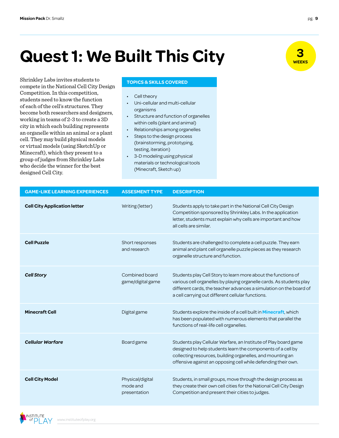# **Quest 1: We Built This City City**

Shrinkley Labs invites students to compete in the National Cell City Design Competition. In this competition, students need to know the function of each of the cell's structures. They become both researchers and designers, working in teams of 2-3 to create a 3D city in which each building represents an organelle within an animal or a plant cell. They may build physical models or virtual models (using SketchUp or Minecraft), which they present to a group of judges from Shrinkley Labs who decide the winner for the best designed Cell City.

### **TOPICS & SKILLS COVERED**

- Cell theory
- Uni-cellular and multi-cellular organisms
- Structure and function of organelles within cells (plant and animal)
- Relationships among organelles
- Steps to the design process (brainstorming, prototyping, testing, iteration)
- 3-D modeling using physical materials or technological tools (Minecraft, Sketch up)

| <b>GAME-LIKE LEARNING EXPERIENCES</b> | <b>ASSESMENT TYPE</b>                        | <b>DESCRIPTION</b>                                                                                                                                                                                                                                               |
|---------------------------------------|----------------------------------------------|------------------------------------------------------------------------------------------------------------------------------------------------------------------------------------------------------------------------------------------------------------------|
| <b>Cell City Application letter</b>   | Writing (letter)                             | Students apply to take part in the National Cell City Design<br>Competition sponsored by Shrinkley Labs. In the application<br>letter, students must explain why cells are important and how<br>all cells are similar.                                           |
| <b>Cell Puzzle</b>                    | Short responses<br>and research              | Students are challenged to complete a cell puzzle. They earn<br>animal and plant cell organelle puzzle pieces as they research<br>organelle structure and function.                                                                                              |
| <b>Cell Story</b>                     | Combined board<br>game/digital game          | Students play Cell Story to learn more about the functions of<br>various cell organelles by playing organelle cards. As students play<br>different cards, the teacher advances a simulation on the board of<br>a cell carrying out different cellular functions. |
| <b>Minecraft Cell</b>                 | Digital game                                 | Students explore the inside of a cell built in <b>Minecraft</b> , which<br>has been populated with numerous elements that parallel the<br>functions of real-life cell organelles.                                                                                |
| <b>Cellular Warfare</b>               | Board game                                   | Students play Cellular Warfare, an Institute of Play board game<br>designed to help students learn the components of a cell by<br>collecting resources, building organelles, and mounting an<br>offensive against an opposing cell while defending their own.    |
| <b>Cell City Model</b>                | Physical/digital<br>mode and<br>presentation | Students, in small groups, move through the design process as<br>they create their own cell cities for the National Cell City Design<br>Competition and present their cities to judges.                                                                          |



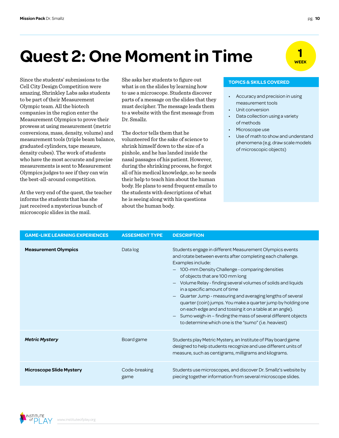## **Quest 2: One Moment in Time**

Since the students' submissions to the She asks her students to figure out **TOPICS & SKILLS COVERED** Cell City Design Competition were amazing, Shrinkley Labs asks students to be part of their Measurement Olympic team. All the biotech companies in the region enter the Measurement Olympics to prove their prowess at using measurement (metric conversions, mass, density, volume) and measurement tools (triple beam balance, graduated cylinders, tape measure, density cubes). The work of students who have the most accurate and precise measurements is sent to Measurement Olympics judges to see if they can win the best-all-around competition.

At the very end of the quest, the teacher informs the students that has she just received a mysterious bunch of microscopic slides in the mail.

She asks her students to figure out what is on the slides by learning how to use a microscope. Students discover parts of a message on the slides that they must decipher. The message leads them to a website with the first message from Dr. Smallz.

The doctor tells them that he volunteered for the sake of science to shrink himself down to the size of a pinhole, and he has landed inside the nasal passages of his patient. However, during the shrinking process, he forgot all of his medical knowledge, so he needs their help to teach him about the human body. He plans to send frequent emails to the students with descriptions of what he is seeing along with his questions about the human body.

- Accuracy and precision in using measurement tools
- Unit conversion
- Data collection using a variety of methods
- Microscope use
- Use of math to show and understand phenomena (e.g. draw scale models of microscopic objects)

| <b>GAME-LIKE LEARNING EXPERIENCES</b> | <b>ASSESMENT TYPE</b> | <b>DESCRIPTION</b>                                                                                                                                                                                                                                                                                                                                                                                                                                                                                                                                                                                                                                                                           |
|---------------------------------------|-----------------------|----------------------------------------------------------------------------------------------------------------------------------------------------------------------------------------------------------------------------------------------------------------------------------------------------------------------------------------------------------------------------------------------------------------------------------------------------------------------------------------------------------------------------------------------------------------------------------------------------------------------------------------------------------------------------------------------|
| <b>Measurement Olympics</b>           | Data log              | Students engage in different Measurement Olympics events<br>and rotate between events after completing each challenge.<br>Examples include:<br>100-mm Density Challenge - comparing densities<br>of objects that are 100 mm long<br>Volume Relay - finding several volumes of solids and liquids<br>$\qquad \qquad -$<br>in a specific amount of time<br>Quarter Jump - measuring and averaging lengths of several<br>quarter (coin) jumps. You make a quarter jump by holding one<br>on each edge and and tossing it on a table at an angle).<br>Sumo weigh-in - finding the mass of several different objects<br>$\qquad \qquad -$<br>to determine which one is the "sumo" (i.e. heaviest) |
| <b>Metric Mystery</b>                 | Board game            | Students play Metric Mystery, an Institute of Play board game<br>designed to help students recognize and use different units of<br>measure, such as centigrams, milligrams and kilograms.                                                                                                                                                                                                                                                                                                                                                                                                                                                                                                    |
| <b>Microscope Slide Mystery</b>       | Code-breaking<br>game | Students use microscopes, and discover Dr. Smallz's website by<br>piecing together information from several microscope slides.                                                                                                                                                                                                                                                                                                                                                                                                                                                                                                                                                               |



**1 WEEK**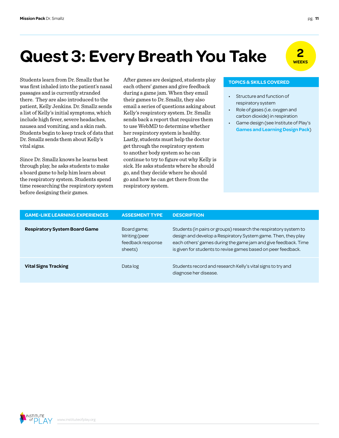## **Quest 3: Every Breath You Take**  $\frac{2}{\sqrt{\epsilon}}$

Students learn from Dr. Smallz that he was first inhaled into the patient's nasal passages and is currently stranded there. They are also introduced to the patient, Kelly Jenkins. Dr. Smallz sends a list of Kelly's initial symptoms, which include high fever, severe headaches, nausea and vomiting, and a skin rash. Students begin to keep track of data that Dr. Smallz sends them about Kelly's vital signs.

Since Dr. Smallz knows he learns best through play, he asks students to make a board game to help him learn about the respiratory system. Students spend time researching the respiratory system before designing their games.

After games are designed, students play each others' games and give feedback during a game jam. When they email their games to Dr. Smallz, they also email a series of questions asking about Kelly's respiratory system. Dr. Smallz sends back a report that requires them to use WebMD to determine whether her respiratory system is healthy. Lastly, students must help the doctor get through the respiratory system to another body system so he can continue to try to figure out why Kelly is sick. He asks students where he should go, and they decide where he should go and how he can get there from the respiratory system.

### **TOPICS & SKILLS COVERED**

- Structure and function of respiratory system
- Role of gases (i.e. oxygen and carbon dioxide) in respiration
- Game design (see Institute of Play's **[Games and Learning Design Pack](http://www.instituteofplay.org/work/projects/q-design-packs/q-games-and-learning-design-pack/)**)

| <b>GAME-LIKE LEARNING EXPERIENCES</b> | <b>ASSESMENT TYPE</b>                                        | <b>DESCRIPTION</b>                                                                                                                                                                                                                                                   |
|---------------------------------------|--------------------------------------------------------------|----------------------------------------------------------------------------------------------------------------------------------------------------------------------------------------------------------------------------------------------------------------------|
| <b>Respiratory System Board Game</b>  | Board game;<br>Writing (peer<br>feedback response<br>sheets) | Students (in pairs or groups) research the respiratory system to<br>design and develop a Respiratory System game. Then, they play<br>each others' games during the game jam and give feedback. Time<br>is given for students to revise games based on peer feedback. |
| <b>Vital Signs Tracking</b>           | Data log                                                     | Students record and research Kelly's vital signs to try and<br>diagnose her disease.                                                                                                                                                                                 |

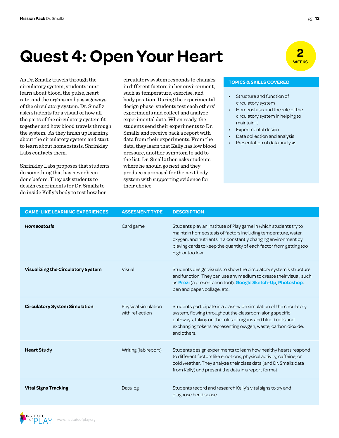## **Quest 4: Open Your Heart**

circulatory system, students must learn about blood, the pulse, heart rate, and the organs and passageways of the circulatory system. Dr. Smallz asks students for a visual of how all the parts of the circulatory system fit together and how blood travels through the system. As they finish up learning about the circulatory system and start to learn about homeostasis, Shrinkley Labs contacts them.

Shrinkley Labs proposes that students do something that has never been done before. They ask students to design experiments for Dr. Smallz to do inside Kelly's body to test how her

As Dr. Smallz travels through the circulatory system responds to changes **TOPICS & SKILLS COVERED** in different factors in her environment, such as temperature, exercise, and body position. During the experimental design phase, students test each others' experiments and collect and analyze experimental data. When ready, the students send their experiments to Dr. Smallz and receive back a report with data from their experiments. From the data, they learn that Kelly has low blood pressure, another symptom to add to the list. Dr. Smallz then asks students where he should go next and they produce a proposal for the next body system with supporting evidence for their choice.



- Structure and function of circulatory system
- Homeostasis and the role of the circulatory system in helping to maintain it
- Experimental design
- Data collection and analysis
- Presentation of data analysis

| <b>GAME-LIKE LEARNING EXPERIENCES</b>     | <b>ASSESMENT TYPE</b>                  | <b>DESCRIPTION</b>                                                                                                                                                                                                                                                                           |
|-------------------------------------------|----------------------------------------|----------------------------------------------------------------------------------------------------------------------------------------------------------------------------------------------------------------------------------------------------------------------------------------------|
| <b>Homeostasis</b>                        | Card game                              | Students play an Institute of Play game in which students try to<br>maintain homeostasis of factors including temperature, water,<br>oxygen, and nutrients in a constantly changing environment by<br>playing cards to keep the quantity of each factor from getting too<br>high or too low. |
| <b>Visualizing the Circulatory System</b> | Visual                                 | Students design visuals to show the circulatory system's structure<br>and function. They can use any medium to create their visual, such<br>as Prezi (a presentation tool), Google Sketch-Up, Photoshop,<br>pen and paper, collage, etc.                                                     |
| <b>Circulatory System Simulation</b>      | Physical simulation<br>with reflection | Students participate in a class-wide simulation of the circulatory<br>system, flowing throughout the classroom along specific<br>pathways, taking on the roles of organs and blood cells and<br>exchanging tokens representing oxygen, waste, carbon dioxide,<br>and others.                 |
| <b>Heart Study</b>                        | Writing (lab report)                   | Students design experiments to learn how healthy hearts respond<br>to different factors like emotions, physical activity, caffeine, or<br>cold weather. They analyze their class data (and Dr. Smallz data<br>from Kelly) and present the data in a report format.                           |
| <b>Vital Signs Tracking</b>               | Data log                               | Students record and research Kelly's vital signs to try and<br>diagnose her disease.                                                                                                                                                                                                         |

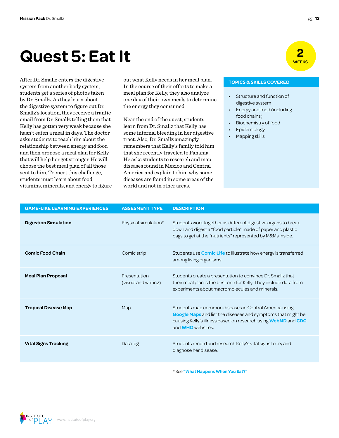## **2 <b>Quest 5: Eat It WEEKS**

system from another body system, students get a series of photos taken by Dr. Smallz. As they learn about the digestive system to figure out Dr. Smallz's location, they receive a frantic email from Dr. Smallz telling them that Kelly has gotten very weak because she hasn't eaten a meal in days. The doctor asks students to teach him about the relationship between energy and food and then propose a meal plan for Kelly that will help her get stronger. He will choose the best meal plan of all those sent to him. To meet this challenge, students must learn about food, vitamins, minerals, and energy to figure

After Dr. Smallz enters the digestive out what Kelly needs in her meal plan. **TOPICS & SKILLS COVERED** In the course of their efforts to make a meal plan for Kelly, they also analyze one day of their own meals to determine the energy they consumed.

> Near the end of the quest, students learn from Dr. Smallz that Kelly has some internal bleeding in her digestive tract. Also, Dr. Smallz amazingly remembers that Kelly's family told him that she recently traveled to Panama. He asks students to research and map diseases found in Mexico and Central America and explain to him why some diseases are found in some areas of the world and not in other areas.

- Structure and function of digestive system
- Energy and food (including food chains)
- Biochemistry of food
- Epidemiology
- Mapping skills

| <b>GAME-LIKE LEARNING EXPERIENCES</b> | <b>ASSESMENT TYPE</b>                | <b>DESCRIPTION</b>                                                                                                                                                                                                 |
|---------------------------------------|--------------------------------------|--------------------------------------------------------------------------------------------------------------------------------------------------------------------------------------------------------------------|
| <b>Digestion Simulation</b>           | Physical simulation*                 | Students work together as different digestive organs to break<br>down and digest a "food particle" made of paper and plastic<br>bags to get at the "nutrients" represented by M&Ms inside.                         |
| <b>Comic Food Chain</b>               | Comic strip                          | Students use <b>Comic Life</b> to illustrate how energy is transferred<br>among living organisms.                                                                                                                  |
| <b>Meal Plan Proposal</b>             | Presentation<br>(visual and writing) | Students create a presentation to convince Dr. Smallz that<br>their meal plan is the best one for Kelly. They include data from<br>experiments about macromolecules and minerals.                                  |
| <b>Tropical Disease Map</b>           | Map                                  | Students map common diseases in Central America using<br>Google Maps and list the diseases and symptoms that might be<br>causing Kelly's illness based on research using WebMD and CDC<br>and <b>WHO</b> websites. |
| <b>Vital Signs Tracking</b>           | Data log                             | Students record and research Kelly's vital signs to try and<br>diagnose her disease.                                                                                                                               |
|                                       |                                      |                                                                                                                                                                                                                    |

\* See **["What Happens When You Eat?"](http://mypages.iit.edu/~smile/bi9706.html)**

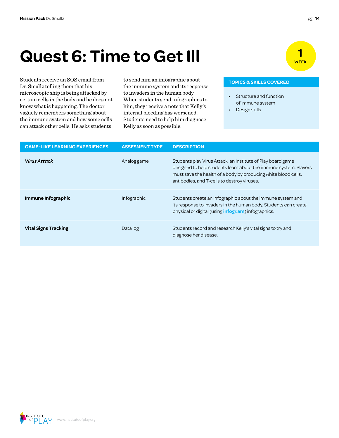## **Quest 6: Time to Get Ill**

Students receive an SOS email from to send him an infographic about **TOPICS & SKILLS COVERED** Dr. Smallz telling them that his microscopic ship is being attacked by certain cells in the body and he does not know what is happening. The doctor vaguely remembers something about the immune system and how some cells can attack other cells. He asks students

to send him an infographic about the immune system and its response to invaders in the human body. When students send infographics to him, they receive a note that Kelly's internal bleeding has worsened. Students need to help him diagnose Kelly as soon as possible.

- Structure and function of immune system
- Design skills

| <b>GAME-LIKE LEARNING EXPERIENCES</b> | <b>ASSESMENT TYPE</b> | <b>DESCRIPTION</b>                                                                                                                                                                                                                               |
|---------------------------------------|-----------------------|--------------------------------------------------------------------------------------------------------------------------------------------------------------------------------------------------------------------------------------------------|
| <b>Virus Attack</b>                   | Analog game           | Students play Virus Attack, an Institute of Play board game<br>designed to help students learn about the immune system. Players<br>must save the health of a body by producing white blood cells,<br>antibodies, and T-cells to destroy viruses. |
| Immune Infographic                    | Infographic           | Students create an infographic about the immune system and<br>its response to invaders in the human body. Students can create<br>physical or digital (using <b>infogr.am</b> ) infographics.                                                     |
| <b>Vital Signs Tracking</b>           | Data log              | Students record and research Kelly's vital signs to try and<br>diagnose her disease.                                                                                                                                                             |

INSTITUTE

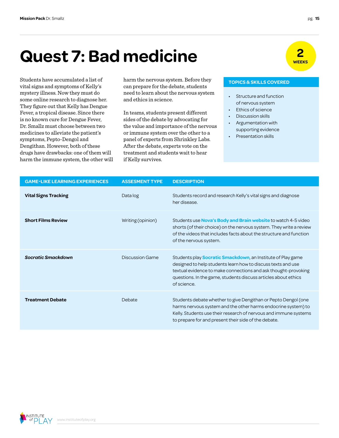## **Quest 7: Bad medicine Constant 1.2**

vital signs and symptoms of Kelly's mystery illness. Now they must do some online research to diagnose her. They figure out that Kelly has Dengue Fever, a tropical disease. Since there is no known cure for Dengue Fever, Dr. Smallz must choose between two medicines to alleviate the patient's symptoms, Pepto-Dengol and Dengithan. However, both of these drugs have drawbacks: one of them will harm the immune system, the other will

Students have accumulated a list of harm the nervous system. Before they **TOPICS & SKILLS COVERED** can prepare for the debate, students need to learn about the nervous system and ethics in science.

> In teams, students present different sides of the debate by advocating for the value and importance of the nervous or immune system over the other to a panel of experts from Shrinkley Labs. After the debate, experts vote on the treatment and students wait to hear if Kelly survives.

- Structure and function of nervous system
- Ethics of science
- Discussion skills
- Argumentation with supporting evidence
- Presentation skills

| <b>GAME-LIKE LEARNING EXPERIENCES</b> | <b>ASSESMENT TYPE</b>  | <b>DESCRIPTION</b>                                                                                                                                                                                                                                                                     |
|---------------------------------------|------------------------|----------------------------------------------------------------------------------------------------------------------------------------------------------------------------------------------------------------------------------------------------------------------------------------|
| <b>Vital Signs Tracking</b>           | Data log               | Students record and research Kelly's vital signs and diagnose<br>her disease.                                                                                                                                                                                                          |
| <b>Short Films Review</b>             | Writing (opinion)      | Students use Nova's Body and Brain website to watch 4-5 video<br>shorts (of their choice) on the nervous system. They write a review<br>of the videos that includes facts about the structure and function<br>of the nervous system.                                                   |
| <b>Socratic Smackdown</b>             | <b>Discussion Game</b> | Students play <b>Socratic Smackdown</b> , an Institute of Play game<br>designed to help students learn how to discuss texts and use<br>textual evidence to make connections and ask thought-provoking<br>questions. In the game, students discuss articles about ethics<br>of science. |
| <b>Treatment Debate</b>               | Debate                 | Students debate whether to give Dengithan or Pepto Dengol (one<br>harms nervous system and the other harms endocrine system) to<br>Kelly. Students use their research of nervous and immune systems<br>to prepare for and present their side of the debate.                            |

INSTITUTE

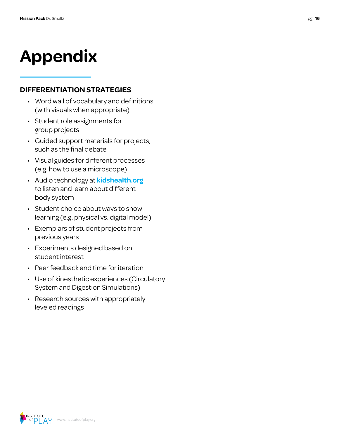# **Appendix**

## **DIFFERENTIATION STRATEGIES**

- Word wall of vocabulary and definitions (with visuals when appropriate)
- Student role assignments for group projects
- Guided support materials for projects, such as the final debate
- Visual guides for different processes (e.g. how to use a microscope)
- Audio technology at **[kidshealth.org](http://kidshealth.org/)** to listen and learn about different body system
- Student choice about ways to show learning (e.g. physical vs. digital model)
- Exemplars of student projects from previous years
- Experiments designed based on student interest
- Peer feedback and time for iteration
- Use of kinesthetic experiences (Circulatory System and Digestion Simulations)
- Research sources with appropriately leveled readings

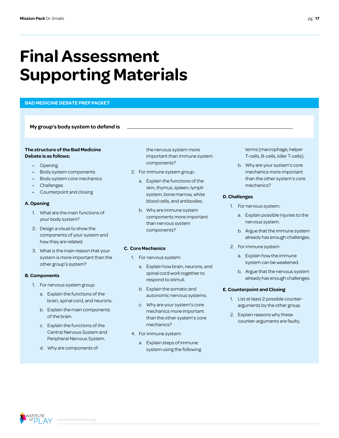## **Final Assessment Supporting Materials**

### **BAD MEDICINE DEBATE PREP PACKET**

**My group's body system to defend is**

### **The structure of the Bad Medicine Debate is as follows:**

- Opening
- Body system components
- Body system core mechanics
- **Challenges**
- Counterpoint and closing

### **A. Opening**

- 1. What are the main functions of your body system?
- 2. Design a visual to show the components of your system and how they are related.
- 3. What is the main reason that your system is more important than the other group's system?

### **B. Components**

- 1. For nervous system group:
	- a. Explain the functions of the brain, spinal cord, and neurons.
	- b. Explain the main components of the brain.
	- c. Explain the functions of the Central Nervous System and Peripheral Nervous System.
	- d. Why are components of

the nervous system more important than immune system components?

- 2. For immune system group:
	- a. Explain the functions of the skin, thymus, spleen, lymph system, bone marrow, white blood cells, and antibodies.
	- b. Why are immune system components more important than nervous system components?

## **C. Core Mechanics**

- 1. For nervous system:
	- a. Explain how brain, neurons, and spinal cord work together to respond to stimuli.
	- b. Explain the somatic and autonomic nervous systems.
	- c. Why are your system's core mechanics more important than the other system's core mechanics?
- 4. For immune system:
	- a. Explain steps of immune system using the following

terms (macrophage, helper T-cells, B-cells, killer T-cells).

b. Why are your system's core mechanics more important than the other system's core mechanics?

### **D. Challenges**

- 1. For nervous system:
	- a. Explain possible injuries to the nervous system.
	- b. Argue that the immune system already has enough challenges.
- 2. For immune system
	- a. Explain how the immune system can be weakened.
	- b. Argue that the nervous system already has enough challenges.

### **E. Counterpoint and Closing**

- 1. List at least 2 possible counterarguments by the other group.
- 2. Explain reasons why these counter-arguments are faulty.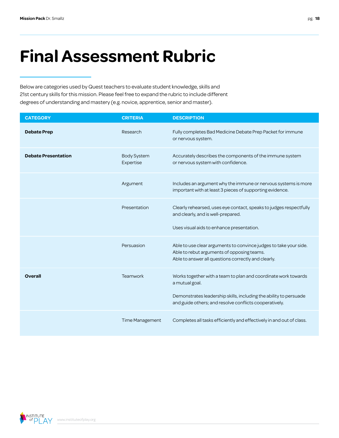## **Final Assessment Rubric**

Below are categories used by Quest teachers to evaluate student knowledge, skills and 21st century skills for this mission. Please feel free to expand the rubric to include different degrees of understanding and mastery (e.g. novice, apprentice, senior and master).

| <b>CATEGORY</b>            | <b>CRITERIA</b>                 | <b>DESCRIPTION</b>                                                                                                                                                                                              |
|----------------------------|---------------------------------|-----------------------------------------------------------------------------------------------------------------------------------------------------------------------------------------------------------------|
| <b>Debate Prep</b>         | Research                        | Fully completes Bad Medicine Debate Prep Packet for immune<br>or nervous system.                                                                                                                                |
| <b>Debate Presentation</b> | <b>Body System</b><br>Expertise | Accurately describes the components of the immune system<br>or nervous system with confidence.                                                                                                                  |
|                            | Argument                        | Includes an argument why the immune or nervous systems is more<br>important with at least 3 pieces of supporting evidence.                                                                                      |
|                            | Presentation                    | Clearly rehearsed, uses eye contact, speaks to judges respectfully<br>and clearly, and is well-prepared.<br>Uses visual aids to enhance presentation.                                                           |
|                            | Persuasion                      | Able to use clear arguments to convince judges to take your side.<br>Able to rebut arguments of opposing teams.<br>Able to answer all questions correctly and clearly.                                          |
| Overall                    | Teamwork                        | Works together with a team to plan and coordinate work towards<br>a mutual goal.<br>Demonstrates leadership skills, including the ability to persuade<br>and guide others; and resolve conflicts cooperatively. |
|                            | Time Management                 | Completes all tasks efficiently and effectively in and out of class.                                                                                                                                            |

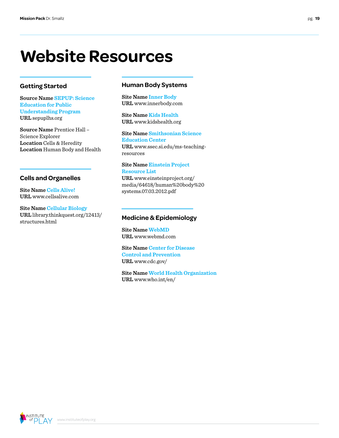## **Website Resources**

## **Getting Started**

**Source Name [SEPUP: Science](http://www.sepuplhs.org)  [Education for Public](http://www.sepuplhs.org)  [Understanding Program](http://www.sepuplhs.org)  URL** [sepuplhs.org](http://www.sepuplhs.org)

**Source Name** Prentice Hall – Science Explorer **Location** Cells & Heredity **Location** Human Body and Health

## **Cells and Organelles**

**Site Name [Cells Alive!](http://www.cellsalive.com) URL** www.cellsalive.com

**Site Name [Cellular Biology](http://library.thinkquest.org/12413/structures.html) URL** [library.thinkquest.org/12413/](http://library.thinkquest.org/12413/structures.html) [structures.html](http://library.thinkquest.org/12413/structures.html)

## **Human Body Systems**

**Site Name [Inner Body](http://www.innerbody.com) URL** [www.innerbody.com](http://www.innerbody.com)

**Site Name [Kids Health](http://www.kidshealth.org) URL** [www.kidshealth.org](http://www.kidshealth.org)

**Site Name [Smithsonian Science](http://www.ssec.si.edu/ms-teaching-resources)  [Education Center](http://www.ssec.si.edu/ms-teaching-resources) URL** [www.ssec.si.edu/ms-teaching](http://www.ssec.si.edu/ms-teaching-resources)[resources](http://www.ssec.si.edu/ms-teaching-resources)

### **Site Name [Einstein Project](http://www.einsteinproject.org/media/64618/human%2520body%2520systems.07.03.2012.pdf)  [Resource List](http://www.einsteinproject.org/media/64618/human%2520body%2520systems.07.03.2012.pdf)**

**URL** [www.einsteinproject.org/](www.einsteinproject.org/media/64618/human%2520body%2520systems.07.03.2012.pdf) [media/64618/human%20body%20](www.einsteinproject.org/media/64618/human%2520body%2520systems.07.03.2012.pdf) [systems.07.03.2012.pdf](www.einsteinproject.org/media/64618/human%2520body%2520systems.07.03.2012.pdf)

## **Medicine & Epidemiology**

**Site Name [WebMD](http://www.webmd.com) URL** [www.webmd.com](http://www.webmd.com)

**Site Name [Center for Disease](http://www.cdc.gov/)  [Control and Prevention](http://www.cdc.gov/) URL** [www.cdc.gov/](http://www.cdc.gov/)

**Site Name [World Health Organization](http://www.who.int/en/) URL** [www.who.int/en/](http://www.who.int/en/)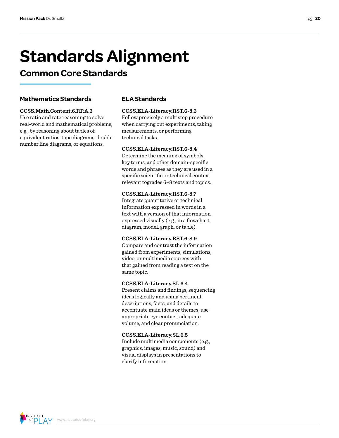# **Standards Alignment**

## **Common Core Standards**

## **Mathematics Standards**

## **CCSS.Math.Content.6.RP.A.3**

Use ratio and rate reasoning to solve real-world and mathematical problems, e.g., by reasoning about tables of equivalent ratios, tape diagrams, double number line diagrams, or equations.

## **ELA Standards**

## **CCSS.ELA-Literacy.RST.6-8.3**

Follow precisely a multistep procedure when carrying out experiments, taking measurements, or performing technical tasks.

## **CCSS.ELA-Literacy.RST.6-8.4**

Determine the meaning of symbols, key terms, and other domain-specific words and phrases as they are used in a specific scientific or technical context relevant togrades 6–8 texts and topics.

## **CCSS.ELA-Literacy.RST.6-8.7**

Integrate quantitative or technical information expressed in words in a text with a version of that information expressed visually (e.g., in a flowchart, diagram, model, graph, or table).

## **CCSS.ELA-Literacy.RST.6-8.9**

Compare and contrast the information gained from experiments, simulations, video, or multimedia sources with that gained from reading a text on the same topic.

## **CCSS.ELA-Literacy.SL.6.4**

Present claims and findings, sequencing ideas logically and using pertinent descriptions, facts, and details to accentuate main ideas or themes; use appropriate eye contact, adequate volume, and clear pronunciation.

## **CCSS.ELA-Literacy.SL.6.5**

Include multimedia components (e.g., graphics, images, music, sound) and visual displays in presentations to clarify information.

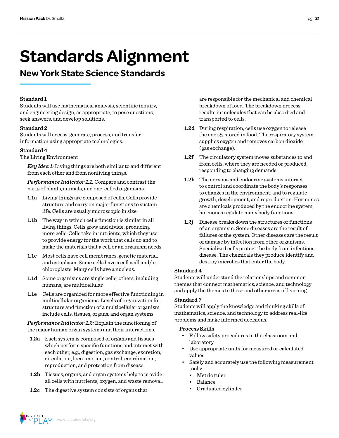## **Standards Alignment**

## **New York State Science Standards**

## **Standard 1**

Students will use mathematical analysis, scientific inquiry, and engineering design, as appropriate, to pose questions, seek answers, and develop solutions.

## **Standard 2**

Students will access, generate, process, and transfer information using appropriate technologies.

## **Standard 4**

The Living Environment

*Key Idea 1:* Living things are both similar to and different from each other and from nonliving things.

*Performance Indicator 1.1:* Compare and contrast the parts of plants, animals, and one-celled organisms.

- **1.1a** Living things are composed of cells. Cells provide structure and carry on major functions to sustain life. Cells are usually microscopic in size.
- **1.1b** The way in wthich cells function is similar in all living things. Cells grow and divide, producing more cells. Cells take in nutrients, which they use to provide energy for the work that cells do and to make the materials that a cell or an organism needs.
- **1.1c** Most cells have cell membranes, genetic material, and cytoplasm. Some cells have a cell wall and/or chloroplasts. Many cells have a nucleus.
- **1.1d** Some organisms are single cells; others, including humans, are multicellular.
- **1.1e** Cells are organized for more effective functioning in multicellular organisms. Levels of organization for structure and function of a multicellular organism include cells, tissues, organs, and organ systems.

*Performance Indicator 1.2:* Explain the functioning of the major human organ systems and their interactions.

- **1.2a** Each system is composed of organs and tissues which perform specific functions and interact with each other, e.g., digestion, gas exchange, excretion, circulation, loco- motion, control, coordination, reproduction, and protection from disease.
- **1.2b** Tissues, organs, and organ systems help to provide all cells with nutrients, oxygen, and waste removal.
- **1.2c** The digestive system consists of organs that

are responsible for the mechanical and chemical breakdown of food. The breakdown process results in molecules that can be absorbed and transported to cells.

- **1.2d** During respiration, cells use oxygen to release the energy stored in food. The respiratory system supplies oxygen and removes carbon dioxide (gas exchange).
- **1.2f** The circulatory system moves substances to and from cells, where they are needed or produced, responding to changing demands.
- **1.2h** The nervous and endocrine systems interact to control and coordinate the body's responses to changes in the environment, and to regulate growth, development, and reproduction. Hormones are chemicals produced by the endocrine system; hormones regulate many body functions.
- **1.2j** Disease breaks down the structures or functions of an organism. Some diseases are the result of failures of the system. Other diseases are the result of damage by infection from other organisms. Specialized cells protect the body from infectious disease. The chemicals they produce identify and destroy microbes that enter the body.

## **Standard 4**

Students will understand the relationships and common themes that connect mathematics, science, and technology and apply the themes to these and other areas of learning.

## **Standard 7**

Students will apply the knowledge and thinking skills of mathematics, science, and technology to address real-life problems and make informed decisions.

## **Process Skills**

- Follow safety procedures in the classroom and laboratory
- Use appropriate units for measured or calculated values
- Safely and accurately use the following measurement tools:
	- Metric ruler
	- Balance
	- Graduated cylinder

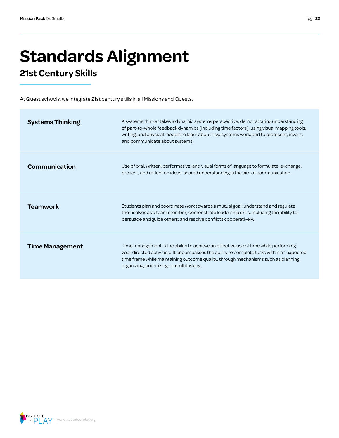# **Standards Alignment**

## **21st Century Skills**

At Quest schools, we integrate 21st century skills in all Missions and Quests.

| <b>Systems Thinking</b> | A systems thinker takes a dynamic systems perspective, demonstrating understanding<br>of part-to-whole feedback dynamics (including time factors); using visual mapping tools,<br>writing, and physical models to learn about how systems work, and to represent, invent,<br>and communicate about systems.          |
|-------------------------|----------------------------------------------------------------------------------------------------------------------------------------------------------------------------------------------------------------------------------------------------------------------------------------------------------------------|
| Communication           | Use of oral, written, performative, and visual forms of language to formulate, exchange,<br>present, and reflect on ideas: shared understanding is the aim of communication.                                                                                                                                         |
| <b>Teamwork</b>         | Students plan and coordinate work towards a mutual goal; understand and regulate<br>themselves as a team member; demonstrate leadership skills, including the ability to<br>persuade and guide others; and resolve conflicts cooperatively.                                                                          |
| <b>Time Management</b>  | Time management is the ability to achieve an effective use of time while performing<br>goal-directed activities. It encompasses the ability to complete tasks within an expected<br>time frame while maintaining outcome quality, through mechanisms such as planning,<br>organizing, prioritizing, or multitasking. |

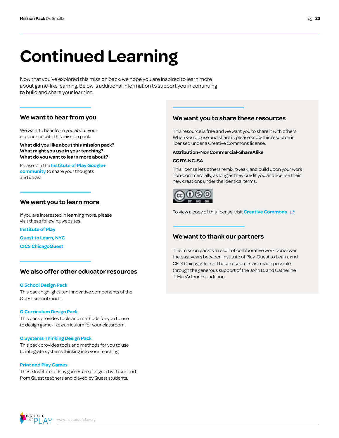# **Continued Learning**

Now that you've explored this mission pack, we hope you are inspired to learn more about game-like learning. Below is additional information to support you in continuing to build and share your learning.

## **We want to hear from you**

We want to hear from you about your experience with this mission pack.

**What did you like about this mission pack? What might you use in your teaching? What do you want to learn more about?**

Please join the **[Institute of Play Google+](https://plus.google.com/109931113406134913780)  [community](https://plus.google.com/109931113406134913780)** to share your thoughts and ideas!

## **We want you to learn more**

If you are interested in learning more, please visit these following websites:

**[Institute of Play](http://www.instituteofplay.org)**

**[Quest to Learn, NYC](http://www.q2l.org)**

**[CICS ChicagoQuest](http://www.chicagoquest.org)**

## **We also offer other educator resources**

### **[Q School Design Pack](http://www.instituteofplay.org/work/projects/q-design-packs/q-school-design-pack/)**

[This pack highlights ten innovative components of the](http://www.instituteofplay.org/work/projects/q-design-packs/q-school-design-pack/)  [Quest school model.](http://www.instituteofplay.org/work/projects/q-design-packs/q-school-design-pack/)

### **[Q Curriculum Design Pack](http://www.instituteofplay.org/work/projects/q-design-packs/q-curriculum-design-pack/)**

[This pack provides tools and methods for you to use](http://www.instituteofplay.org/work/projects/q-design-packs/q-curriculum-design-pack/)  [to design game-like curriculum for your classroom.](http://www.instituteofplay.org/work/projects/q-design-packs/q-curriculum-design-pack/)

### **[Q Systems Thinking Design Pack](http://www.instituteofplay.org/work/projects/q-design-packs/q-systems-thinking-design-pack/)**

[This pack provides tools and methods for you to use](http://www.instituteofplay.org/work/projects/q-design-packs/q-systems-thinking-design-pack/)  [to integrate systems thinking into your teaching.](http://www.instituteofplay.org/work/projects/q-design-packs/q-systems-thinking-design-pack/)

### **[Print and Play Games](http://www.instituteofplay.org/work/projects/print-and-play-games)**

[These Institute of Play games are designed with support](http://www.instituteofplay.org/work/projects/print-and-play-games)  [from Quest teachers and played by Quest students.](http://www.instituteofplay.org/work/projects/print-and-play-games)

## **We want you to share these resources**

This resource is free and we want you to share it with others. When you do use and share it, please know this resource is licensed under a Creative Commons license.

### **Attribution-NonCommercial-ShareAlike**

### **CC BY-NC-SA**

This license lets others remix, tweak, and build upon your work non-commercially, as long as they credit you and license their new creations under the identical terms.



To view a copy of this license, visit **[Creative Commons](http://creativecommons.org/licenses/by-nc-sa/3.0/us/)** 

## **We want to thank our partners**

This mission pack is a result of collaborative work done over the past years between Institute of Play, Quest to Learn, and CICS ChicagoQuest. These resources are made possible through the generous support of the John D. and Catherine T. MacArthur Foundation.